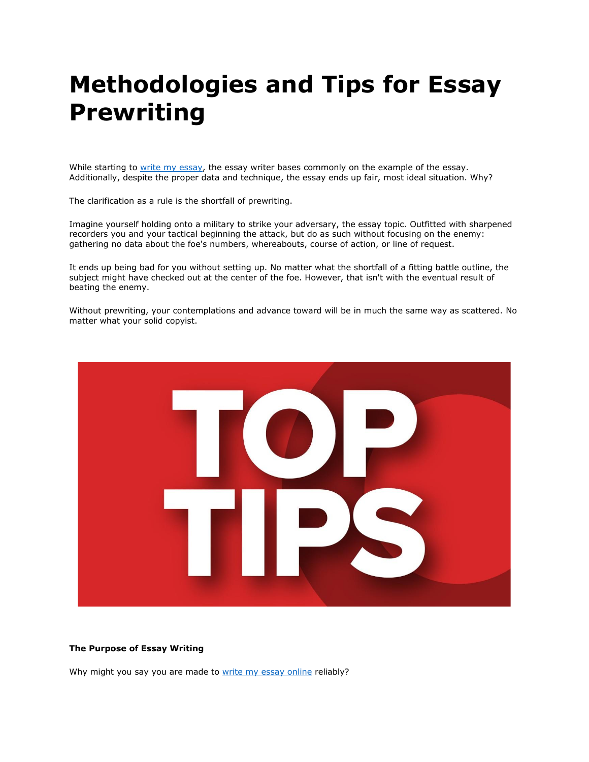# **Methodologies and Tips for Essay Prewriting**

While starting to [write my essay,](https://writemyessayfast.net/) the essay writer bases commonly on the example of the essay. Additionally, despite the proper data and technique, the essay ends up fair, most ideal situation. Why?

The clarification as a rule is the shortfall of prewriting.

Imagine yourself holding onto a military to strike your adversary, the essay topic. Outfitted with sharpened recorders you and your tactical beginning the attack, but do as such without focusing on the enemy: gathering no data about the foe's numbers, whereabouts, course of action, or line of request.

It ends up being bad for you without setting up. No matter what the shortfall of a fitting battle outline, the subject might have checked out at the center of the foe. However, that isn't with the eventual result of beating the enemy.

Without prewriting, your contemplations and advance toward will be in much the same way as scattered. No matter what your solid copyist.



# **The Purpose of Essay Writing**

Why might you say you are made to [write my essay online](https://writemyessayfast.net/) reliably?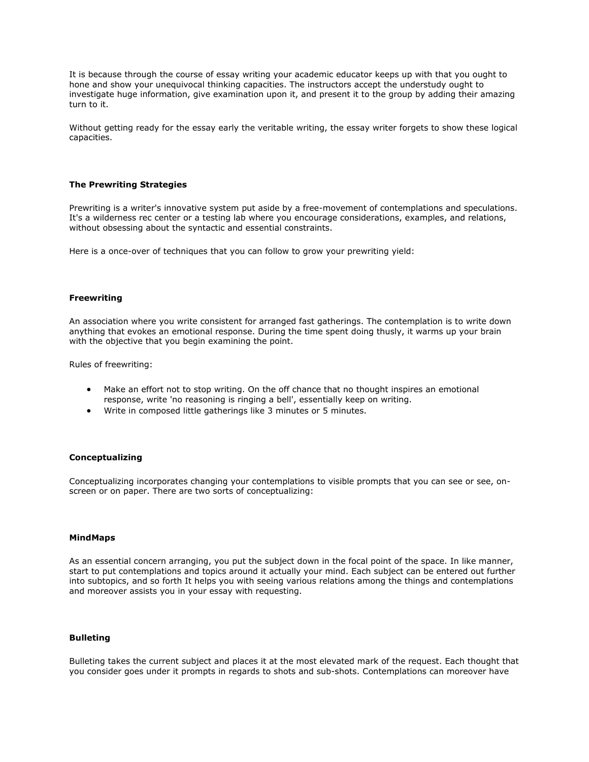It is because through the course of essay writing your academic educator keeps up with that you ought to hone and show your unequivocal thinking capacities. The instructors accept the understudy ought to investigate huge information, give examination upon it, and present it to the group by adding their amazing turn to it.

Without getting ready for the essay early the veritable writing, the essay writer forgets to show these logical capacities.

# **The Prewriting Strategies**

Prewriting is a writer's innovative system put aside by a free-movement of contemplations and speculations. It's a wilderness rec center or a testing lab where you encourage considerations, examples, and relations, without obsessing about the syntactic and essential constraints.

Here is a once-over of techniques that you can follow to grow your prewriting yield:

### **Freewriting**

An association where you write consistent for arranged fast gatherings. The contemplation is to write down anything that evokes an emotional response. During the time spent doing thusly, it warms up your brain with the objective that you begin examining the point.

Rules of freewriting:

- Make an effort not to stop writing. On the off chance that no thought inspires an emotional response, write 'no reasoning is ringing a bell', essentially keep on writing.
- Write in composed little gatherings like 3 minutes or 5 minutes.

# **Conceptualizing**

Conceptualizing incorporates changing your contemplations to visible prompts that you can see or see, onscreen or on paper. There are two sorts of conceptualizing:

#### **MindMaps**

As an essential concern arranging, you put the subject down in the focal point of the space. In like manner, start to put contemplations and topics around it actually your mind. Each subject can be entered out further into subtopics, and so forth It helps you with seeing various relations among the things and contemplations and moreover assists you in your essay with requesting.

# **Bulleting**

Bulleting takes the current subject and places it at the most elevated mark of the request. Each thought that you consider goes under it prompts in regards to shots and sub-shots. Contemplations can moreover have